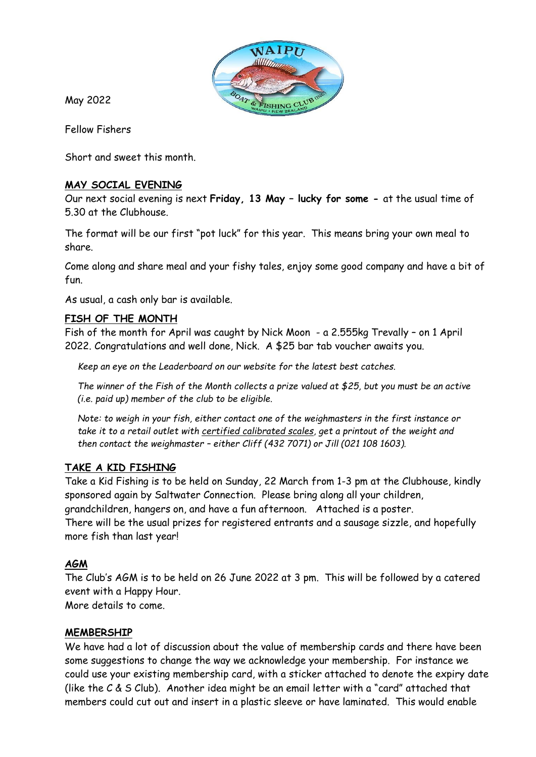

May 2022

Fellow Fishers

Short and sweet this month.

# **MAY SOCIAL EVENING**

Our next social evening is next **Friday, 13 May – lucky for some -** at the usual time of 5.30 at the Clubhouse.

The format will be our first "pot luck" for this year. This means bring your own meal to share.

Come along and share meal and your fishy tales, enjoy some good company and have a bit of fun.

As usual, a cash only bar is available.

# **FISH OF THE MONTH**

Fish of the month for April was caught by Nick Moon - a 2.555kg Trevally – on 1 April 2022. Congratulations and well done, Nick. A \$25 bar tab voucher awaits you.

*Keep an eye on the Leaderboard on our website for the latest best catches.*

*The winner of the Fish of the Month collects a prize valued at \$25, but you must be an active (i.e. paid up) member of the club to be eligible.*

*Note: to weigh in your fish, either contact one of the weighmasters in the first instance or take it to a retail outlet with certified calibrated scales, get a printout of the weight and then contact the weighmaster – either Cliff (432 7071) or Jill (021 108 1603).*

### **TAKE A KID FISHING**

Take a Kid Fishing is to be held on Sunday, 22 March from 1-3 pm at the Clubhouse, kindly sponsored again by Saltwater Connection. Please bring along all your children, grandchildren, hangers on, and have a fun afternoon. Attached is a poster. There will be the usual prizes for registered entrants and a sausage sizzle, and hopefully more fish than last year!

### **AGM**

The Club's AGM is to be held on 26 June 2022 at 3 pm. This will be followed by a catered event with a Happy Hour.

More details to come.

### **MEMBERSHIP**

We have had a lot of discussion about the value of membership cards and there have been some suggestions to change the way we acknowledge your membership. For instance we could use your existing membership card, with a sticker attached to denote the expiry date (like the C & S Club). Another idea might be an email letter with a "card" attached that members could cut out and insert in a plastic sleeve or have laminated. This would enable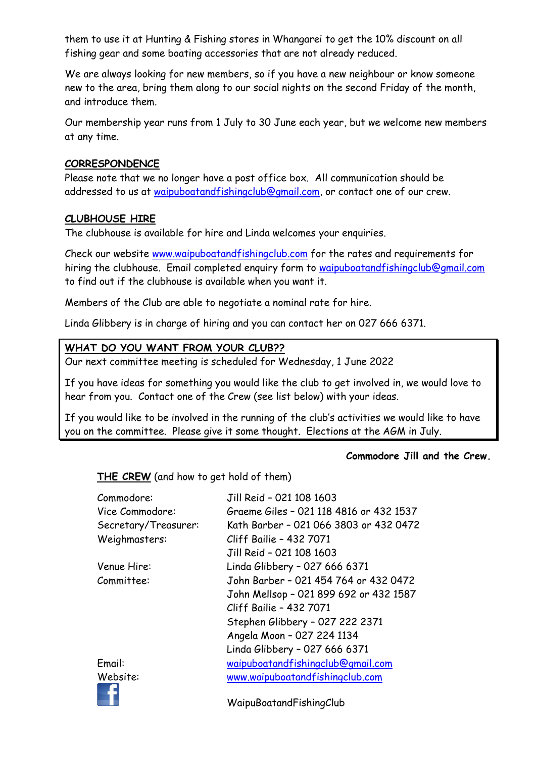them to use it at Hunting & Fishing stores in Whangarei to get the 10% discount on all fishing gear and some boating accessories that are not already reduced.

We are always looking for new members, so if you have a new neighbour or know someone new to the area, bring them along to our social nights on the second Friday of the month, and introduce them.

Our membership year runs from 1 July to 30 June each year, but we welcome new members at any time.

# **CORRESPONDENCE**

Please note that we no longer have a post office box. All communication should be addressed to us at [waipuboatandfishingclub@gmail.com,](mailto:waipuboatandfishingclub@gmail.com) or contact one of our crew.

# **CLUBHOUSE HIRE**

٠.

The clubhouse is available for hire and Linda welcomes your enquiries.

Check our website [www.waipuboatandfishingclub.com](http://www.waipuboatandfishingclub.com/) for the rates and requirements for hiring the clubhouse. Email completed enquiry form to [waipuboatandfishingclub@gmail.com](mailto:waipuboatandfishingclub@gmail.com) to find out if the clubhouse is available when you want it.

Members of the Club are able to negotiate a nominal rate for hire.

Linda Glibbery is in charge of hiring and you can contact her on 027 666 6371.

# **WHAT DO YOU WANT FROM YOUR CLUB??**

Our next committee meeting is scheduled for Wednesday, 1 June 2022

If you have ideas for something you would like the club to get involved in, we would love to hear from you. Contact one of the Crew (see list below) with your ideas.

If you would like to be involved in the running of the club's activities we would like to have you on the committee. Please give it some thought. Elections at the AGM in July.

### **Commodore Jill and the Crew.**

**THE CREW** (and how to get hold of them)

| Commodore:           | Jill Reid - 021 108 1603                |
|----------------------|-----------------------------------------|
| Vice Commodore:      | Graeme Giles - 021 118 4816 or 432 1537 |
| Secretary/Treasurer: | Kath Barber - 021 066 3803 or 432 0472  |
| Weighmasters:        | Cliff Bailie - 432 7071                 |
|                      | Jill Reid - 021 108 1603                |
| Venue Hire:          | Linda Glibbery - 027 666 6371           |
| Committee:           | John Barber - 021 454 764 or 432 0472   |
|                      | John Mellsop - 021 899 692 or 432 1587  |
|                      | Cliff Bailie - 432 7071                 |
|                      | Stephen Glibbery - 027 222 2371         |
|                      | Angela Moon - 027 224 1134              |
|                      | Linda Glibbery - 027 666 6371           |
| Email:               | waipuboatandfishingclub@gmail.com       |
| Website:             | www.waipuboatandfishingclub.com         |
|                      |                                         |

WaipuBoatandFishingClub